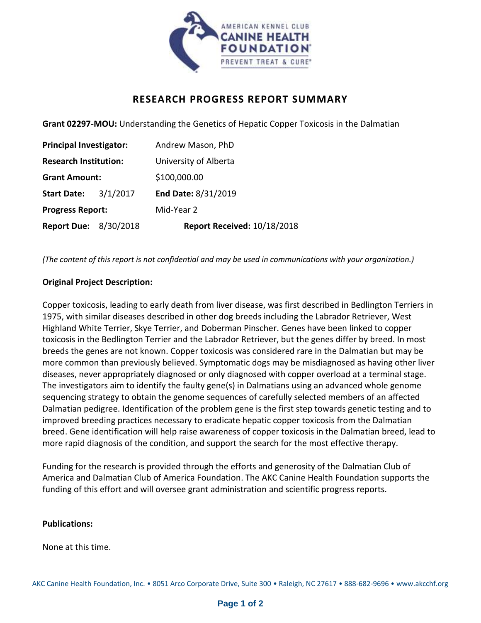

# **RESEARCH PROGRESS REPORT SUMMARY**

**Grant 02297-MOU:** Understanding the Genetics of Hepatic Copper Toxicosis in the Dalmatian

| <b>Principal Investigator:</b> |          | Andrew Mason, PhD           |
|--------------------------------|----------|-----------------------------|
| <b>Research Institution:</b>   |          | University of Alberta       |
| <b>Grant Amount:</b>           |          | \$100,000.00                |
| <b>Start Date:</b>             | 3/1/2017 | End Date: 8/31/2019         |
| <b>Progress Report:</b>        |          | Mid-Year 2                  |
| <b>Report Due: 8/30/2018</b>   |          | Report Received: 10/18/2018 |

*(The content of this report is not confidential and may be used in communications with your organization.)*

# **Original Project Description:**

Copper toxicosis, leading to early death from liver disease, was first described in Bedlington Terriers in 1975, with similar diseases described in other dog breeds including the Labrador Retriever, West Highland White Terrier, Skye Terrier, and Doberman Pinscher. Genes have been linked to copper toxicosis in the Bedlington Terrier and the Labrador Retriever, but the genes differ by breed. In most breeds the genes are not known. Copper toxicosis was considered rare in the Dalmatian but may be more common than previously believed. Symptomatic dogs may be misdiagnosed as having other liver diseases, never appropriately diagnosed or only diagnosed with copper overload at a terminal stage. The investigators aim to identify the faulty gene(s) in Dalmatians using an advanced whole genome sequencing strategy to obtain the genome sequences of carefully selected members of an affected Dalmatian pedigree. Identification of the problem gene is the first step towards genetic testing and to improved breeding practices necessary to eradicate hepatic copper toxicosis from the Dalmatian breed. Gene identification will help raise awareness of copper toxicosis in the Dalmatian breed, lead to more rapid diagnosis of the condition, and support the search for the most effective therapy.

Funding for the research is provided through the efforts and generosity of the Dalmatian Club of America and Dalmatian Club of America Foundation. The AKC Canine Health Foundation supports the funding of this effort and will oversee grant administration and scientific progress reports.

### **Publications:**

None at this time.

AKC Canine Health Foundation, Inc. • 8051 Arco Corporate Drive, Suite 300 • Raleigh, NC 27617 • 888-682-9696 • www.akcchf.org